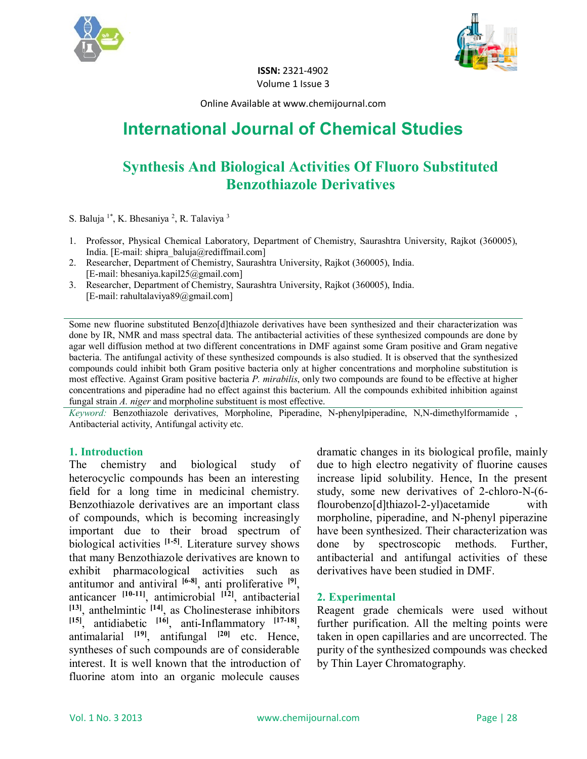



**ISSN:** 2321-4902 Volume 1 Issue 3

Online Available at www.chemijournal.com

# **International Journal of Chemical Studies**

# **Synthesis And Biological Activities Of Fluoro Substituted Benzothiazole Derivatives**

S. Baluja <sup>1\*</sup>, K. Bhesaniya <sup>2</sup>, R. Talaviya <sup>3</sup>

- 1. Professor, Physical Chemical Laboratory, Department of Chemistry, Saurashtra University, Rajkot (360005), India. [E-mail: shipra\_baluja@rediffmail.com]
- 2. Researcher, Department of Chemistry, Saurashtra University, Rajkot (360005), India. [E-mail: bhesaniya.kapil25@gmail.com]
- 3. Researcher, Department of Chemistry, Saurashtra University, Rajkot (360005), India. [E-mail: rahultalaviya89@gmail.com]

Some new fluorine substituted Benzo[d]thiazole derivatives have been synthesized and their characterization was done by IR, NMR and mass spectral data. The antibacterial activities of these synthesized compounds are done by agar well diffusion method at two different concentrations in DMF against some Gram positive and Gram negative bacteria. The antifungal activity of these synthesized compounds is also studied. It is observed that the synthesized compounds could inhibit both Gram positive bacteria only at higher concentrations and morpholine substitution is most effective. Against Gram positive bacteria *P. mirabilis*, only two compounds are found to be effective at higher concentrations and piperadine had no effect against this bacterium. All the compounds exhibited inhibition against fungal strain *A. niger* and morpholine substituent is most effective.

*Keyword:* Benzothiazole derivatives, Morpholine, Piperadine, N-phenylpiperadine, N,N-dimethylformamide , Antibacterial activity, Antifungal activity etc.

#### **1. Introduction**

The chemistry and biological study of heterocyclic compounds has been an interesting field for a long time in medicinal chemistry. Benzothiazole derivatives are an important class of compounds, which is becoming increasingly important due to their broad spectrum of biological activities **[1-5]**. Literature survey shows that many Benzothiazole derivatives are known to exhibit pharmacological activities such as antitumor and antiviral **[6-8]**, anti proliferative **[9]** , anticancer **[10-11]**, antimicrobial **[12]**, antibacterial **[13]**, anthelmintic **[14]**, as Cholinesterase inhibitors **[15]**, antidiabetic **[16]**, anti-Inflammatory **[17-18]** , antimalarial **[19]**, antifungal **[20]** etc. Hence, syntheses of such compounds are of considerable interest. It is well known that the introduction of fluorine atom into an organic molecule causes

dramatic changes in its biological profile, mainly due to high electro negativity of fluorine causes increase lipid solubility. Hence, In the present study, some new derivatives of 2-chloro-N-(6 flourobenzo[d]thiazol-2-yl)acetamide with morpholine, piperadine, and N-phenyl piperazine have been synthesized. Their characterization was done by spectroscopic methods. Further, antibacterial and antifungal activities of these derivatives have been studied in DMF.

#### **2. Experimental**

Reagent grade chemicals were used without further purification. All the melting points were taken in open capillaries and are uncorrected. The purity of the synthesized compounds was checked by Thin Layer Chromatography.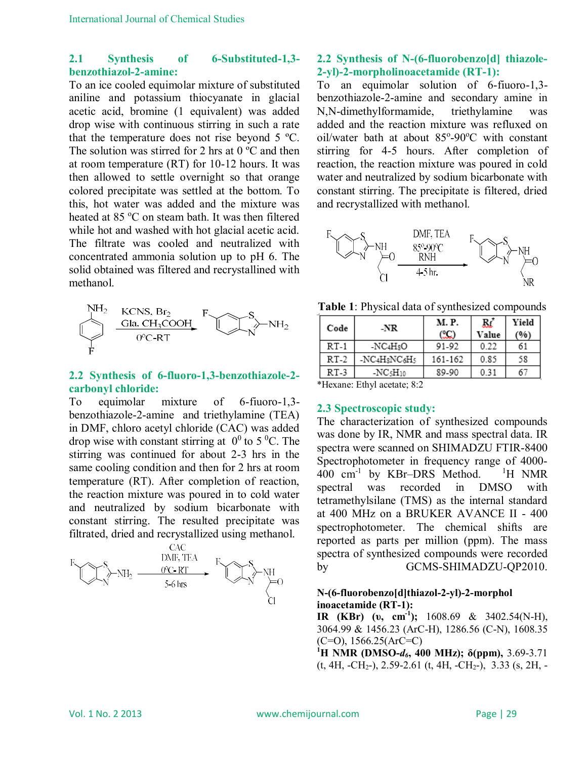#### **2.1 Synthesis of 6-Substituted-1,3 benzothiazol-2-amine:**

To an ice cooled equimolar mixture of substituted aniline and potassium thiocyanate in glacial acetic acid, bromine (1 equivalent) was added drop wise with continuous stirring in such a rate that the temperature does not rise beyond 5 ºC. The solution was stirred for 2 hrs at  $0^{\circ}$ C and then at room temperature (RT) for 10-12 hours. It was then allowed to settle overnight so that orange colored precipitate was settled at the bottom. To this, hot water was added and the mixture was heated at 85 °C on steam bath. It was then filtered while hot and washed with hot glacial acetic acid. The filtrate was cooled and neutralized with concentrated ammonia solution up to pH 6. The solid obtained was filtered and recrystallined with methanol.



### **2.2 Synthesis of 6-fluoro-1,3-benzothiazole-2 carbonyl chloride:**

To equimolar mixture of 6-fiuoro-1,3 benzothiazole-2-amine and triethylamine (TEA) in DMF, chloro acetyl chloride (CAC) was added drop wise with constant stirring at  $0^0$  to 5 <sup>o</sup>C. The stirring was continued for about 2-3 hrs in the same cooling condition and then for 2 hrs at room temperature (RT). After completion of reaction, the reaction mixture was poured in to cold water and neutralized by sodium bicarbonate with constant stirring. The resulted precipitate was filtrated, dried and recrystallized using methanol.



# **2.2 Synthesis of N-(6-fluorobenzo[d] thiazole-2-yl)-2-morpholinoacetamide (RT-1):**

To an equimolar solution of 6-fiuoro-1,3 benzothiazole-2-amine and secondary amine in N,N-dimethylformamide, triethylamine was added and the reaction mixture was refluxed on oil/water bath at about 85°-90°C with constant stirring for 4-5 hours. After completion of reaction, the reaction mixture was poured in cold water and neutralized by sodium bicarbonate with constant stirring. The precipitate is filtered, dried and recrystallized with methanol.



**Table 1**: Physical data of synthesized compounds

| Code   | -NR                                               | M. P.   | Rť    | Yield |  |  |  |
|--------|---------------------------------------------------|---------|-------|-------|--|--|--|
|        |                                                   | œ       | Value | (%)   |  |  |  |
| $RT-1$ | $-NC4H8O$                                         | 91-92   | 0.22  | 61    |  |  |  |
| $RT-2$ | -NC4H <sub>8</sub> NC <sub>6</sub> H <sub>5</sub> | 161-162 | 0.85  | 58    |  |  |  |
| $RT-3$ | $-NC5H10$                                         | 89-90   | 0.31  | 67    |  |  |  |
|        |                                                   |         |       |       |  |  |  |

\*Hexane: Ethyl acetate; 8:2

# **2.3 Spectroscopic study:**

The characterization of synthesized compounds was done by IR, NMR and mass spectral data. IR spectra were scanned on SHIMADZU FTIR-8400 Spectrophotometer in frequency range of 4000- 400 cm<sup>-1</sup> by KBr-DRS Method. <sup>1</sup>H NMR spectral was recorded in DMSO with tetramethylsilane (TMS) as the internal standard at 400 MHz on a BRUKER AVANCE II - 400 spectrophotometer. The chemical shifts are reported as parts per million (ppm). The mass spectra of synthesized compounds were recorded by GCMS-SHIMADZU-QP2010.

### **N-(6-fluorobenzo[d]thiazol-2-yl)-2-morphol inoacetamide (RT-1):**

**IR (KBr) (υ, cm-1 );** 1608.69 & 3402.54(N-H), 3064.99 & 1456.23 (ArC-H), 1286.56 (C-N), 1608.35  $(C=O)$ , 1566.25(ArC=C)

**<sup>1</sup>H NMR (DMSO-***d6***, 400 MHz); δ(ppm),** 3.69-3.71 (t, 4H, -CH2-), 2.59-2.61 (t, 4H, -CH2-), 3.33 (s, 2H, -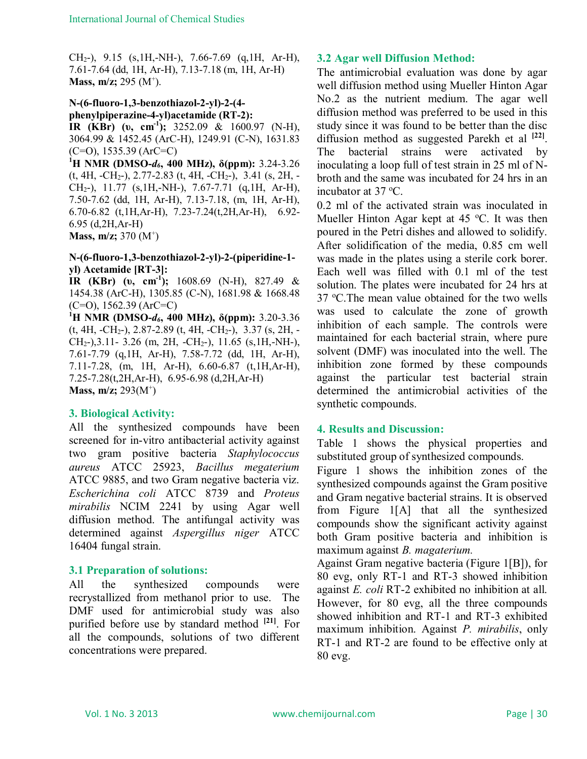CH2-), 9.15 (s,1H,-NH-), 7.66-7.69 (q,1H, Ar-H), 7.61-7.64 (dd, 1H, Ar-H), 7.13-7.18 (m, 1H, Ar-H) **Mass, m/z;** 295 (M<sup>+</sup>).

# **N-(6-fluoro-1,3-benzothiazol-2-yl)-2-(4 phenylpiperazine-4-yl)acetamide (RT-2):**

**IR (KBr) (υ, cm-1 );** 3252.09 & 1600.97 (N-H), 3064.99 & 1452.45 (ArC-H), 1249.91 (C-N), 1631.83  $(C=O)$ , 1535.39 (ArC=C)

**<sup>1</sup>H NMR (DMSO-***d6***, 400 MHz), δ(ppm):** 3.24-3.26 (t, 4H, -CH2-), 2.77-2.83 (t, 4H, -CH2-), 3.41 (s, 2H, - CH2-), 11.77 (s,1H,-NH-), 7.67-7.71 (q,1H, Ar-H), 7.50-7.62 (dd, 1H, Ar-H), 7.13-7.18, (m, 1H, Ar-H), 6.70-6.82 (t,1H,Ar-H), 7.23-7.24(t,2H,Ar-H), 6.92- 6.95 (d,2H,Ar-H) **Mass, m/z;** 370 (M<sup>+</sup>)

#### **N-(6-fluoro-1,3-benzothiazol-2-yl)-2-(piperidine-1 yl) Acetamide [RT-3]:**

**IR (KBr) (υ, cm-1 );** 1608.69 (N-H), 827.49 & 1454.38 (ArC-H), 1305.85 (C-N), 1681.98 & 1668.48 (C=O), 1562.39 (ArC=C)

**<sup>1</sup>H NMR (DMSO-***d6***, 400 MHz), δ(ppm):** 3.20-3.36  $(t, 4H, -CH<sub>2</sub>), 2.87-2.89$   $(t, 4H, -CH<sub>2</sub>), 3.37$   $(s, 2H, -CH<sub>2</sub>),$ CH2-),3.11- 3.26 (m, 2H, -CH2-), 11.65 (s,1H,-NH-), 7.61-7.79 (q,1H, Ar-H), 7.58-7.72 (dd, 1H, Ar-H), 7.11-7.28, (m, 1H, Ar-H), 6.60-6.87 (t,1H,Ar-H), 7.25-7.28(t,2H,Ar-H), 6.95-6.98 (d,2H,Ar-H) **Mass, m/z;** 293(M<sup>+</sup>)

### **3. Biological Activity:**

All the synthesized compounds have been screened for in-vitro antibacterial activity against two gram positive bacteria *Staphylococcus aureus* ATCC 25923, *Bacillus megaterium* ATCC 9885, and two Gram negative bacteria viz. *Escherichina coli* ATCC 8739 and *Proteus mirabilis* NCIM 2241 by using Agar well diffusion method. The antifungal activity was determined against *Aspergillus niger* ATCC 16404 fungal strain.

### **3.1 Preparation of solutions:**

All the synthesized compounds were recrystallized from methanol prior to use. The DMF used for antimicrobial study was also purified before use by standard method **[21]**. For all the compounds, solutions of two different concentrations were prepared.

# **3.2 Agar well Diffusion Method:**

The antimicrobial evaluation was done by agar well diffusion method using Mueller Hinton Agar No.2 as the nutrient medium. The agar well diffusion method was preferred to be used in this study since it was found to be better than the disc diffusion method as suggested Parekh et al **[22]** . The bacterial strains were activated by inoculating a loop full of test strain in 25 ml of Nbroth and the same was incubated for 24 hrs in an incubator at  $37 \text{ °C}$ .

0.2 ml of the activated strain was inoculated in Mueller Hinton Agar kept at  $45^{\circ}$ C. It was then poured in the Petri dishes and allowed to solidify. After solidification of the media, 0.85 cm well was made in the plates using a sterile cork borer. Each well was filled with 0.1 ml of the test solution. The plates were incubated for 24 hrs at 37 °C. The mean value obtained for the two wells was used to calculate the zone of growth inhibition of each sample. The controls were maintained for each bacterial strain, where pure solvent (DMF) was inoculated into the well. The inhibition zone formed by these compounds against the particular test bacterial strain determined the antimicrobial activities of the synthetic compounds.

### **4. Results and Discussion:**

Table 1 shows the physical properties and substituted group of synthesized compounds.

Figure 1 shows the inhibition zones of the synthesized compounds against the Gram positive and Gram negative bacterial strains. It is observed from Figure 1[A] that all the synthesized compounds show the significant activity against both Gram positive bacteria and inhibition is maximum against *B. magaterium.*

Against Gram negative bacteria (Figure 1[B]), for 80 evg, only RT-1 and RT-3 showed inhibition against *E. coli* RT-2 exhibited no inhibition at all. However, for 80 evg, all the three compounds showed inhibition and RT-1 and RT-3 exhibited maximum inhibition. Against *P. mirabilis*, only RT-1 and RT-2 are found to be effective only at 80 evg.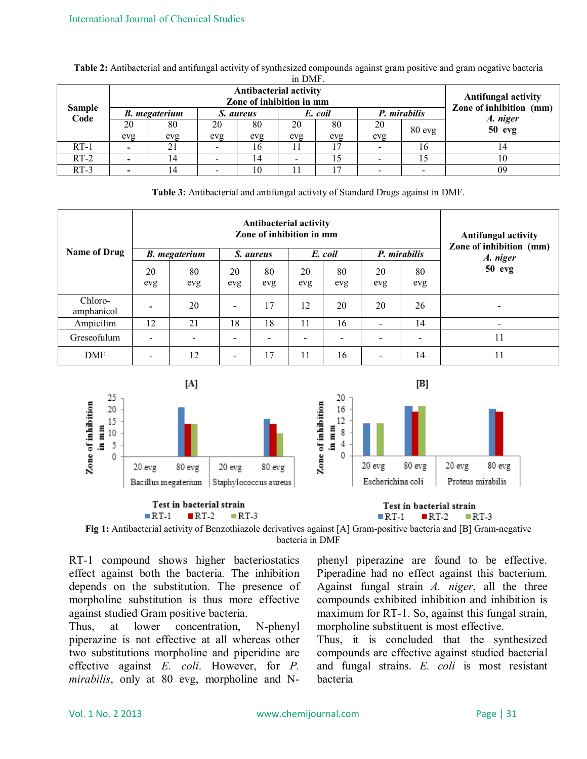| in DMF.               |                                                           |     |           |     |         |     |              |        |                                                       |
|-----------------------|-----------------------------------------------------------|-----|-----------|-----|---------|-----|--------------|--------|-------------------------------------------------------|
| <b>Sample</b><br>Code | <b>Antibacterial activity</b><br>Zone of inhibition in mm |     |           |     |         |     |              |        | <b>Antifungal activity</b><br>Zone of inhibition (mm) |
|                       | <b>B.</b> megaterium                                      |     | S. aureus |     | E. coil |     | P. mirabilis |        | A. niger                                              |
|                       | 20                                                        | 80  | 20        | 80  | 20      | 80  | 20           | 80 evg | $50$ evg                                              |
|                       | evg                                                       | evg | evg       | evg | evg     | evg | evg          |        |                                                       |
| $RT-1$                | $\overline{\phantom{0}}$                                  |     |           | 16  |         |     |              | 16     | 14                                                    |
| $RT-2$                |                                                           |     |           | 14  | -       | 15  |              | 15     | 10                                                    |
| $RT-3$                |                                                           |     |           | 10  |         |     |              |        | 09                                                    |

**Table 2:** Antibacterial and antifungal activity of synthesized compounds against gram positive and gram negative bacteria

**Table 3:** Antibacterial and antifungal activity of Standard Drugs against in DMF.

| <b>Name of Drug</b>   | <b>Antibacterial activity</b><br>Zone of inhibition in mm<br>P. mirabilis<br><b>B.</b> megaterium<br>E. coil<br>S. aureus |                          |           |           |           |                          |                          |           | <b>Antifungal activity</b><br>Zone of inhibition (mm)<br>A. niger |
|-----------------------|---------------------------------------------------------------------------------------------------------------------------|--------------------------|-----------|-----------|-----------|--------------------------|--------------------------|-----------|-------------------------------------------------------------------|
|                       | 20<br>evg                                                                                                                 | 80<br>evg                | 20<br>evg | 80<br>evg | 20<br>evg | 80<br>evg                | 20<br>evg                | 80<br>evg | $50$ evg                                                          |
| Chloro-<br>amphanicol |                                                                                                                           | 20                       | -         | 17        | 12        | 20                       | 20                       | 26        |                                                                   |
| Ampicilim             | 12                                                                                                                        | 21                       | 18        | 18        | 11        | 16                       | $\overline{\phantom{0}}$ | 14        |                                                                   |
| Greseofulum           |                                                                                                                           | $\overline{\phantom{a}}$ | -         |           |           | $\overline{\phantom{a}}$ |                          |           | 11                                                                |
| <b>DMF</b>            |                                                                                                                           | 12                       | -         | 17        | 11        | 16                       | $\overline{\phantom{0}}$ | 14        | 11                                                                |



**Fig 1:** Antibacterial activity of Benzothiazole derivatives against [A] Gram-positive bacteria and [B] Gram-negative bacteria in DMF

RT-1 compound shows higher bacteriostatics effect against both the bacteria*.* The inhibition depends on the substitution. The presence of morpholine substitution is thus more effective against studied Gram positive bacteria.

Thus, at lower concentration, N-phenyl piperazine is not effective at all whereas other two substitutions morpholine and piperidine are effective against *E. coli*. However, for *P. mirabilis*, only at 80 evg, morpholine and N-

phenyl piperazine are found to be effective. Piperadine had no effect against this bacterium. Against fungal strain *A. niger*, all the three compounds exhibited inhibition and inhibition is maximum for RT-1. So, against this fungal strain, morpholine substituent is most effective.

Thus, it is concluded that the synthesized compounds are effective against studied bacterial and fungal strains. *E. coli* is most resistant bacteria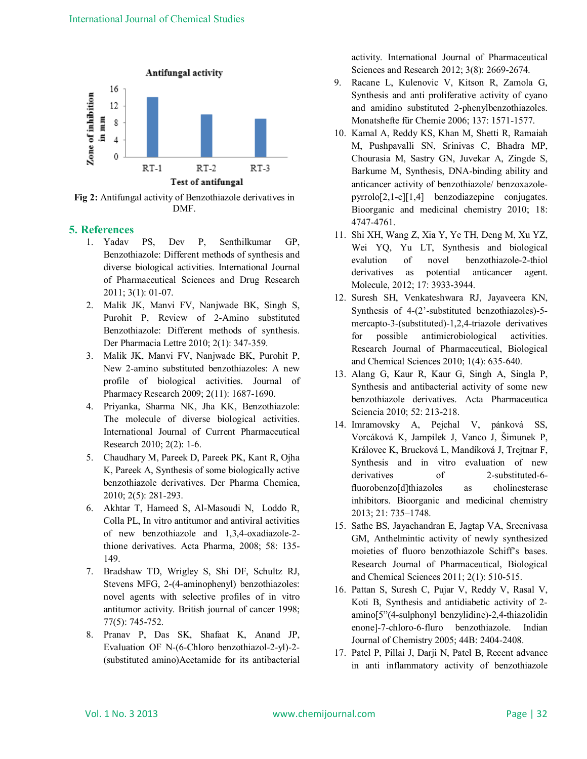

**Fig 2:** Antifungal activity of Benzothiazole derivatives in DMF.

#### **5. References**

- 1. Yadav PS, Dev P, Senthilkumar GP, Benzothiazole: Different methods of synthesis and diverse biological activities. International Journal of Pharmaceutical Sciences and Drug Research 2011; 3(1): 01-07.
- 2. Malik JK, Manvi FV, Nanjwade BK, Singh S, Purohit P, Review of 2-Amino substituted Benzothiazole: Different methods of synthesis. Der Pharmacia Lettre 2010; 2(1): 347-359.
- 3. Malik JK, Manvi FV, Nanjwade BK, Purohit P, New 2-amino substituted benzothiazoles: A new profile of biological activities. Journal of Pharmacy Research 2009; 2(11): 1687-1690.
- 4. Priyanka, Sharma NK, Jha KK, Benzothiazole: The molecule of diverse biological activities. International Journal of Current Pharmaceutical Research 2010; 2(2): 1-6.
- 5. Chaudhary M, Pareek D, Pareek PK, Kant R, Ojha K, Pareek A, Synthesis of some biologically active benzothiazole derivatives. Der Pharma Chemica, 2010; 2(5): 281-293.
- 6. Akhtar T, Hameed S, Al-Masoudi N, Loddo R, Colla PL, In vitro antitumor and antiviral activities of new benzothiazole and 1,3,4-oxadiazole-2 thione derivatives. Acta Pharma, 2008; 58: 135- 149.
- 7. Bradshaw TD, Wrigley S, Shi DF, Schultz RJ, Stevens MFG, 2-(4-aminophenyl) benzothiazoles: novel agents with selective profiles of in vitro antitumor activity. British journal of cancer 1998; 77(5): 745-752.
- 8. Pranav P, Das SK, Shafaat K, Anand JP, Evaluation OF N-(6-Chloro benzothiazol-2-yl)-2- (substituted amino)Acetamide for its antibacterial

activity. International Journal of Pharmaceutical Sciences and Research 2012; 3(8): 2669-2674.

- 9. Racane L, Kulenovic V, Kitson R, Zamola G, Synthesis and anti proliferative activity of cyano and amidino substituted 2-phenylbenzothiazoles. Monatshefte für Chemie 2006; 137: 1571-1577.
- 10. Kamal A, Reddy KS, Khan M, Shetti R, Ramaiah M, Pushpavalli SN, Srinivas C, Bhadra MP, Chourasia M, Sastry GN, Juvekar A, Zingde S, Barkume M, Synthesis, DNA-binding ability and anticancer activity of benzothiazole/ benzoxazolepyrrolo[2,1-c][1,4] benzodiazepine conjugates. Bioorganic and medicinal chemistry 2010; 18: 4747-4761.
- 11. Shi XH, Wang Z, Xia Y, Ye TH, Deng M, Xu YZ, Wei YQ, Yu LT, Synthesis and biological evalution of novel benzothiazole-2-thiol derivatives as potential anticancer agent. Molecule, 2012; 17: 3933-3944.
- 12. Suresh SH, Venkateshwara RJ, Jayaveera KN, Synthesis of 4-(2'-substituted benzothiazoles)-5 mercapto-3-(substituted)-1,2,4-triazole derivatives for possible antimicrobiological activities. Research Journal of Pharmaceutical, Biological and Chemical Sciences 2010; 1(4): 635-640.
- 13. Alang G, Kaur R, Kaur G, Singh A, Singla P, Synthesis and antibacterial activity of some new benzothiazole derivatives. Acta Pharmaceutica Sciencia 2010; 52: 213-218.
- 14. Imramovsky A, Pejchal V, pánková SS, Vorcáková K, Jampílek J, Vanco J, Šimunek P, Královec K, Brucková L, Mandíková J, Trejtnar F, Synthesis and in vitro evaluation of new derivatives of 2-substituted-6fluorobenzo[d]thiazoles as cholinesterase inhibitors. Bioorganic and medicinal chemistry 2013; 21: 735–1748.
- 15. Sathe BS, Jayachandran E, Jagtap VA, Sreenivasa GM, Anthelmintic activity of newly synthesized moieties of fluoro benzothiazole Schiff's bases. Research Journal of Pharmaceutical, Biological and Chemical Sciences 2011; 2(1): 510-515.
- 16. Pattan S, Suresh C, Pujar V, Reddy V, Rasal V, Koti B, Synthesis and antidiabetic activity of 2 amino[5"(4-sulphonyl benzylidine)-2,4-thiazolidin enone]-7-chloro-6-fluro benzothiazole. Indian Journal of Chemistry 2005; 44B: 2404-2408.
- 17. Patel P, Pillai J, Darji N, Patel B, Recent advance in anti inflammatory activity of benzothiazole